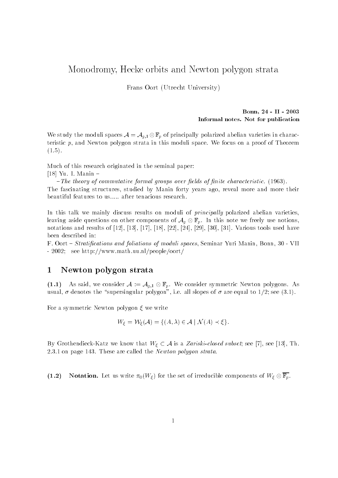# Monodromy, Hecke orbits and Newton polygon strata

Frans Oort (Utrecht University)

### Bonn - II Informal notes. Not for publication

We study the moduli spaces  $\mathcal{A} = \mathcal{A}_{g,1} \otimes \mathbb{F}_p$  of principally polarized abelian varieties in characteristic p- and Newton polygon strata in this moduli space We focus on a proof of Theorem  $(1.5).$ 

Much of this research originated in the seminal paper

Yu ilikuwa katika mwaka wa 1972, katika mwaka wa 1972, katika matua wa 1972, katika mwaka wa 1972, katika mwak

 $-$ The theory of commutative formal groups over fields of finite characteristic. (1963). The fascinating structures- studied by Manin forty years ago- reveal more and more their beautiful features to us..... after tenacious research.

In this talk we mainly discuss results on moduli of *principally* polarized abelian varieties, leaving aside questions on other components of  $A_q \otimes \mathbb{F}_p$ . In this note we freely use notions, notations and results of - - - - - - 
- - Various tools used have been described in

F Oort  Stratications and foliations of moduli spaces- Seminar Yuri Manin- Bonn- VII - 2002; see http://www.math.uu.nl/people/oort/

## Newton polygon strata

 $\mathcal{L}$  and said, we consider  $\mathcal{L}$  and  $\mathcal{L}$  and  $\mathcal{L}$  are  $\mathcal{L}$  and  $\mathcal{L}$  are  $\mathcal{L}$  . usual-are supersion-to the supersingular polygon-large in the seeding to see all slopes of the large

For a symmetric Newton polygon  $\xi$  we write

$$
W_{\xi} = \mathcal{W}_{\xi}(\mathcal{A}) = \{ (A, \lambda) \in \mathcal{A} \mid \mathcal{N}(A) \prec \xi \}.
$$

 $\mathcal{S}$  and  $\mathcal{S}$  we know that  $\mathcal{S}$  is a Zariski-Library that W is a Zariski-Library that  $\mathcal{S}$ 2.3.1 on page 143. These are called the *Newton polygon strata*.

. . . . . **EXECUTE:** Here as writte  $M_{\text{U}}(V/\epsilon)$  for the set of irreducible components of  $W/\epsilon \otimes \Delta p$ .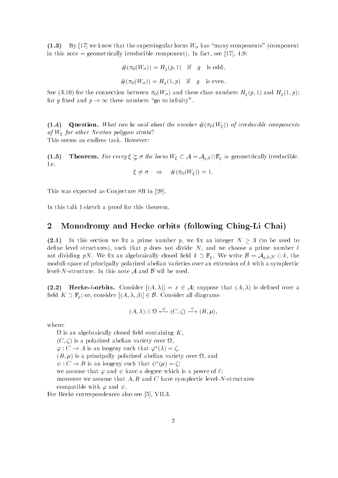. . . . .  $\mathbb{R}$  in the supersingular locus W-M-H  $\mathbb{R}$  and  $\mathbb{R}$  and  $\mathbb{R}$  and  $\mathbb{R}$  and  $\mathbb{R}$  and  $\mathbb{R}$  and  $\mathbb{R}$  and  $\mathbb{R}$  and  $\mathbb{R}$  and  $\mathbb{R}$  and  $\mathbb{R}$  and  $\mathbb{R}$  and  $\mathbb{R}$  and  $\mathbb{R}$  a in this note graduated in factor  $\alpha$  is the component  $\alpha$  in  $\alpha$ 

$$
#(\pi_0(W_{\sigma})) = H_g(p, 1) \text{ if } g \text{ is odd},
$$
  

$$
\#(\pi_0(W_{\sigma})) = H_g(1, p) \text{ if } g \text{ is even}.
$$

see for and the connection between With All and these connections and the Millel and Hg  $\mu_{\rm{1}}$ for g fixed and  $p \to \infty$  these numbers "go to infinity".

- - - - - -**Guestion-** What can be said about the number W official by the above components of  $W_{\xi}$  for other Newton polygon strata? This seems an endless task. However:

-**First emit 1** of seedy  $\boldsymbol{\downarrow}$  s and reducible  $W$  ( $\boldsymbol{\downarrow}$  or  $\boldsymbol{\downarrow}$  or  $\boldsymbol{\downarrow}$  or  $\boldsymbol{\uparrow}$  or  $\boldsymbol{\uparrow}$  or  $\boldsymbol{\uparrow}$  or  $\boldsymbol{\uparrow}$  or  $\boldsymbol{\uparrow}$  is a set of order  $\boldsymbol{\uparrow}$ I.e.

$$
\xi \neq \sigma \quad \Rightarrow \quad \#(\pi_0(W_{\xi})) = 1.
$$

This was expected as Conjecture as Conjecture as Conjecture as Conjecture as Conjecture as Conjecture as Conjecture

In this talk I sketch a proof for this theorem.

### Monodromy and Hecke orbits -following ChingLi Chai

. . . . . In this section we x a prime number p- we x an integer N to be used to dene level structures- such that p does not divide N-does not divide N-does not divide N-does not divide N-does not dividing  $p$  we we we algebraically closed electric  $\Rightarrow$   $=p$  . We write  $\Rightarrow$  and  $q$  if  $p$  with  $\Rightarrow$ moduli space of principally polarized abelian varieties over an extension of  $k$  with a symplectic level-N-structure. In this note  $A$  and  $B$  wil be used.

 $\mathcal{L} = \mathcal{L} = \mathcal{L} = \mathcal{L} = \mathcal{L} = \mathcal{L} = \mathcal{L} = \mathcal{L} = \mathcal{L} = \mathcal{L} = \mathcal{L} = \mathcal{L} = \mathcal{L} = \mathcal{L} = \mathcal{L} = \mathcal{L} = \mathcal{L} = \mathcal{L} = \mathcal{L} = \mathcal{L} = \mathcal{L} = \mathcal{L} = \mathcal{L} = \mathcal{L} = \mathcal{L} = \mathcal{L} = \mathcal{L} = \mathcal{L} = \mathcal{L} = \mathcal{L} = \mathcal{L} = \mathcal$ eld K  $\mu$  , and consider  $\mu$  , i.e., i.e.,  $\mu$  ,  $\mu$  ,  $\mu$  ,  $\mu$  ,  $\mu$  ,  $\mu$  ,  $\mu$  ,  $\mu$  , and the consider  $\mu$ 

$$
(A, \lambda) \otimes \Omega \xleftarrow{\varphi} (C, \zeta) \xrightarrow{\psi} (B, \mu),
$$

where

 $\Omega$  is an algebraically closed field containing K. , construction about the contract of the construction of the construction of the construction of the construction of the construction of the construction of the construction of the construction of the construction of the c  $\varphi: C \to A$  is an isogeny such that  $\varphi(\lambda) = C$ , B- is a principally polarized abelian variety over - and  $\psi: \bigcup \rightarrow D$  is an isogeny such that  $\psi^-(\mu) = \zeta$ ; we assume that  $\mathcal{A}$  and  $\mathcal{A}$  and  $\mathcal{A}$  are power of  $\mathcal{A}$  and  $\mathcal{A}$  are power of  $\mathcal{A}$ more that A- $\blacksquare$  and C have symplectic level Nstructures yields  $\blacksquare$ compatible with procedure with  $\sim$ 

For Hecke correspondences also see - VII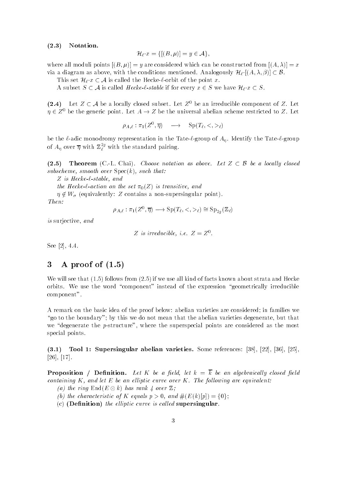#### . . . . . Notation-

$$
\mathcal{H}_{\ell} \cdot x = \{ [(B, \mu)] = y \in \mathcal{A} \},
$$

where all moduli points  $\mathbb{R}$  are constructed from  $\mathbb{R}$  are constructed from  $\mathbb{R}$  $\Omega$  and the conditions mentioned  $\Omega$  as above-distinct of  $\Omega$  and  $\Omega$  are conditioned Analogously H  $\equiv$  1.4  $\pm$  1.4  $\pm$  1.4  $\pm$  1.4  $\pm$  1.4  $\pm$  1.4  $\pm$  1.4  $\pm$  1.4  $\pm$  1.4  $\pm$  1.4  $\pm$  1.4  $\pm$  1.4  $\pm$  1.4

This set  $\mathcal{H}_{\ell} \cdot x \subset \mathcal{A}$  is called the Hecke- $\ell$ -orbit of the point x.

a subset of  $\subset$  , and the state of the stable if for every  $x$  ,  $\subset$   $\sim$  . We have  $\sim$   $\sim$   $\sim$   $\sim$ 

(2.4) Let  $Z \subset A$  be a locally closed subset. Let  $Z$  be an irreducible component of  $Z$ . Let  $\eta \in Z^0$  be the generic point. Let  $A \to Z$  be the universal abelian scheme restricted to Z. Let

$$
\rho_{A,\ell} : \pi_1(Z^0, \overline{\eta}) \quad \longrightarrow \quad \text{Sp}(T_\ell, \lt,, \gt_\ell)
$$

be the  $\ell$ -adic monodromy representation in the Tate- $\ell$ -group of  $A_n$ . Identify the Tate- $\ell$ -group of  $A_\eta$  over  $\eta$  with  $\mathbb{Z}_\ell^{\geq 3}$  with the standard pairing.

 $\cdot$  -  $\cdot$  -  $\cdot$ **Theorem** (C.-L. Chai). Choose notation as above. Let  $Z \subset \mathcal{B}$  be a locally closed subscheme, smooth over  $Spec(k)$ , such that:

Z is Hecke--stable and

the Hecker contract and the set  $\mathbf{u}_1$  is transitively and the

where  $\alpha$  is a non-more contains a non-more component point  $\alpha$ 

$$
Then:
$$

$$
\rho_{A,\ell} : \pi_1(Z^0, \overline{\eta}) \longrightarrow \text{Sp}(T_{\ell}, \langle , \rangle_{\ell}) \cong \text{Sp}_{2q}(\mathbb{Z}_{\ell})
$$

is surjective-to-the-to-the-to-the-to-the-to-the-to-the-to-the-to-the-to-the-to-the-to-the-to-the-to-the-to-th

Z is irreducible, i.e. 
$$
Z = Z^0
$$
.

see and the second contract of the second contract of the second contract of the second contract of the second

### A proof of -

We will see that  $(1.5)$  follows from  $(2.5)$  if we use all kind of facts known about strata and Hecke orbits. We use the word "component" instead of the expression "geometrically irreducible component

A remark on the basic idea of the proof below: abelian varieties are considered; in families we go to the boundary by this we do not mean that the abelian varieties degrees of abelian varieties de we degenerate the pstructure- points are the superspecial points are considered as the most special points

-Tool I. Supersingular abelian varieties. Some references.  $|00|, |22|, |00|, |29|$  - 

**Let Construct the Definition.** Let  $K$  be a field, let  $K = K$  be an algebraically closed field containing  $K$ , and let  $E$  be an elliptic curve over  $K$ . The following are equivalent:

- (a) the ring  $\text{End}(E \otimes k)$  has rank 4 over  $\mathbb{Z}$ ;
- (b) the characteristic of K equals  $p > 0$ , and  $#(E(k)[p]) = \{0\};$
- (c) (Definition) the elliptic curve is called supersingular.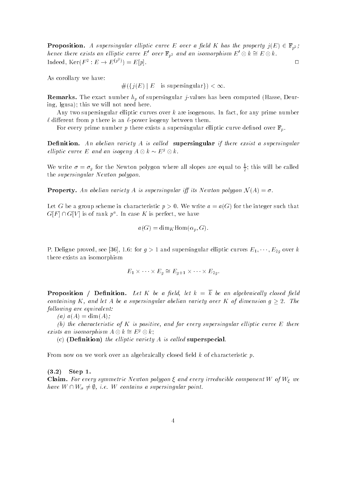**Example 2** supersingular elements can be  $\sum$  over a from  $\sum$  the property  $j(\Delta) \subset \mathbb{F}_{p^2}$ hence there exists an elliptic curve E' over  $\mathbb{F}_{p^2}$  and an isomorphism  $E' \otimes k \cong E \otimes k$ .  $\text{Indeed, } \text{Ker}(F^2 : E \to E^{(p^2)}) = E[p].$ 

As corollary we have

 $#({j(E) | E$  is supersingular $) < \infty$ .

**remarks-** The exact number  $np$  or supersingular jointed has been computed (masse) Deur ing- Igusa this we will not need here

Any two supersingular elliptic curves over k are isogenous In fact- for any prime number  $\ell$  different from p there is an  $\ell$ -power isogeny between them.

For every prime number p there exists a supersingular elliptic curve defined over  $\mathbb{F}_p$ .

**Denition** is the abelian variety is to called **a supersingular** if there exclude a supersingular in elliptic curve E and an isogeny  $A \otimes k \sim E^g \otimes k$ .

We write  $\sigma = \sigma_g$  for the Newton polygon where all slopes are equal to  $\frac{1}{2}$ ; this will be called the supersingular Newton polygon

**An abelian in** a is the word control of the supersingular in the supersingular polygon N  $\{1, 1\}$ 

Let G be a group scheme in characteristic  $p > 0$ . We write  $a = a(G)$  for the integer such that G $|F| \cap G|V|$  is of rank  $p$  . In case  $K$  is perfect, we have

$$
a(G) = \dim_K \text{Hom}(\alpha_p, G).
$$

 $\mathbf{r}$  , and supersingular elliptic curves E-M  $\mathbf{r}$  , and supersingular electronic curves  $\mathbf{r}$  , and  $\mathbf{r}$ there exists an isomorphism

$$
E_1 \times \cdots \times E_q \cong E_{q+1} \times \cdots \times E_{2q}.
$$

**Let Densition and Demartial Community in the Community of the conduction of the conductance of the conduction** of  $\mu$ containing K, and let A be a supersingular abelian variety over K of dimension  $q > 2$ . The following are equivalent:

(a)  $a(A) = \dim(A)$ ;

(b) the characteristic of K is positive, and for every supersingular elliptic curve  $E$  there exists an isomorphism  $A \otimes k \cong E^g \otimes k$ ;

(c) (Definition) the elliptic variety  $A$  is called superspecial.

From now on we work over an algebraically closed field  $k$  of characteristic  $p$ .

. . . . .  $Step 1.$ 

**Claim-** For every symmetric newton polygon  $\zeta$  and every irreducible component  $W$  of  $W$  we have we will be written as a supersingular point of the supersingular point of the supersingular point of the s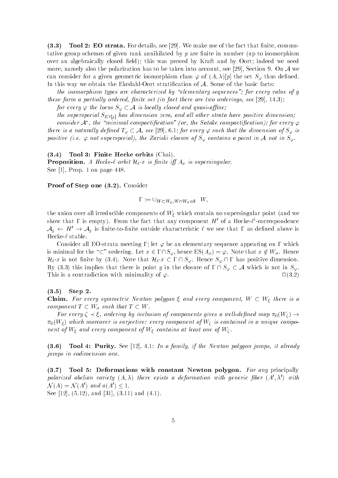-**Tool 2.** Extractional Lot details, see  $[2\sigma]$ . We make use of the fact that nifted commuttative group schemes of given rank annihilated by  $p$  are finite in number (up to isomorphism over an algebraically closed field); this was proved by Kraft and by Oort; indeed we need more-beta the polarization has to be taken into account-taken into account-taken into account-taken into account- $\Omega$  consider for a given geometric isomorphism considered to  $\Gamma$ In this way we obtain the Ekedahl-Oort stratification of  $A$ . Some of the basic facts:

the isomorphism types are characterized by elementary sequences for every value of g these form a partial ly ordered nite set in fact there are two ordered nite set in fact the set in fact the set in fact the set in fact the set in fact the set in fact the set in fact the set in fact the set in fact the s

 $f \mapsto \{f \in \mathcal{F} \mid \{f \in \mathcal{F} \mid \{f\} \mid \{f \in \mathcal{F}\} \mid \{f \in \mathcal{F} \mid \{f \in \mathcal{F} \mid \{f\} \mid \{f\} \mid \{f \in \mathcal{F}\} \mid \{f \in \mathcal{F} \mid \{f \in \mathcal{F} \mid \{f\} \mid \{f \in \mathcal{F} \mid \{f\} \mid \{f\} \mid \{f\} \mid \{f\} \mid \{f\} \mid \{f\} \mid \{f\} \mid \{f\} \mid \{f\} \mid \{f\} \$ 

the superspecial  $S_{E^{g}}[p]$  has dimension zero, and all other strata have positive dimension, consider  $A$  , the "minimal compactification" (or, the Satake compactification); for every  $\varphi$ there is a natural ly density  $\psi$   $\in$   $\ell$  s, the dimension of  $\psi$  is a such that the dimension of  $\psi$  is a such that the dimension of  $\psi$  is a such that the dimension of  $\psi$  is a such that the dimension of  $\psi$ positive ie not superspecial the Zariski closure of S contains a point in <sup>A</sup> not in S

-Tool 3: Finite Hecke orbits (Chai).

 $\blacksquare$  . The contraction-conduction-conduction-conduction-conduction-conduction-conduction-conduction-conduction-conduction-conduction-conduction-conduction-conduction-conduction-conduction-conduction-conduction-conductio See - Prop on page

**F** FOOI OF Step one  $\mathbf{0.2}$ . Consider

 $W = VV \cup VV \in VV + WV \sigma = \Psi$ 

the union over all irreducible components of  $W_{\xi}$  which contain no supersingular point (and we show that I is empty). From the fact that any component  $H$  of a Hecke- $\ell$  -correspondence  $\ell$  $A_g \leftarrow H \rightarrow A_g$  is nifte-to-finite outside characteristic  $\ell$  we see that I as defined above is Hecke- $\ell$  stable.

Consider all EOstrata meeting let be an elementary sequence appearing on which is minimum for the  $\alpha$  -statistic contracts the  $\psi$  means  $\psi$  . In the statistic contracts that  $\psi$  is a second  $\mathcal{H}_{\ell}$  x is not finite by (3.4). Note that  $\mathcal{H}_{\ell}$  x  $\subset \Gamma \cap S_{\varphi}$ . Hence  $S_{\varphi} \cap \Gamma$  has positive dimension. By (3.3) this implies that there is point y in the closure of  $\Gamma \cap S_{\varphi} \subset A$  which is not in  $S_{\varphi}$ . This is a contradiction with minimality of  $\varphi$ .  $\Box(3.2)$ 

#### - $Step 2.$

 $\mathcal{L}$  . For every symmetric newton polygon  $\zeta$  and every component  $W$   $\subseteq$   $W$  and  $\zeta$  and  $\zeta$ component to the T  $\omega$  was that T  $\omega$  and T  $\omega$  and T  $\omega$  and T  $\omega$  and T  $\omega$  and T  $\omega$ 

For every - ordering by inclusion of components gives a well-dened map W  $\pi_0(W_\xi)$  which moreover is surjective: every component of  $W_\zeta$  is contained in a unique component of  $W_{\xi}$  and every component of  $W_{\xi}$  contains at least one of  $W_{\zeta}$ .

-**Tool +. I diffy.** See  $|12|$ , 4.1. In a family, if the Newton polygon famps, it already jumps in codimension one

- Tool of Deformations with constant rewton polygon. The any principally polarized abelian variety  $(A, \lambda)$  there exists a deformation with generic floer  $(A, \lambda)$  with  $\mathcal{N}(A) = \mathcal{N}(A')$  and  $a(A') \leq 1$ .

See - - and - and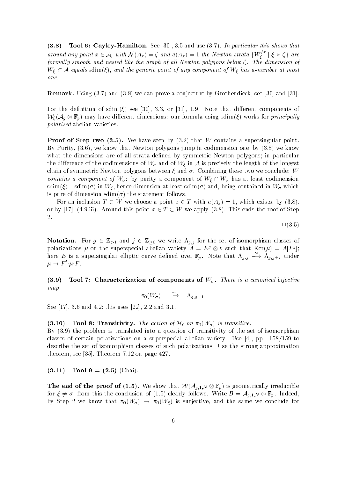-**Tool 0.** Cayley-Hammon. Dee  $[00]$ , 0.0 and use  $(0.1)$ . The particular this shows that around any point  $x \in A$ , with  $\mathcal{N}(A_x) = \zeta$  and  $a(A_x) = 1$  the Newton strata  $\{W_{\zeta}^x \mid \xi \succ \zeta\}$  are formally smooth and nested like the graph of all Newton polygons below  $\zeta$ . The dimension of w a component state and the generic point of any component of W has a-most component of M has a-most compo one

 $\blacksquare$  . The construction of  $\mathcal{A}$  and  $\mathcal{A}$  are  $\mathcal{A}$  and  $\mathcal{A}$  and  $\mathcal{A}$  and  $\mathcal{A}$  and  $\mathcal{A}$  and  $\mathcal{A}$  and  $\mathcal{A}$  and  $\mathcal{A}$  and  $\mathcal{A}$  and  $\mathcal{A}$  and  $\mathcal{A}$  and  $\mathcal{A}$  and  $\mathcal{A}$  a

For the denition of sdim see - - or - Note that dierent components of  $W_{\xi}(\mathcal{A}_q\otimes \mathbb{F}_p)$  may have different dimensions: our formula using sdim( $\xi$ ) works for principally polarized abelian varieties

**I foof of Step two (0.0).** We have seen by (0.2) that W contains a supersingular point. By Purity- - we know that Newton polygons jump in codimension one by we know what the dimensions are of all strata defined by symmetric Newton polygons; in particular the dierence of the codimensions of W- and of W in <sup>A</sup> is precisely the length of the longest chain of symmetric Newton polygons between  $\xi$  and  $\sigma$ . Combining these two we conclude: W contains a component of W- by purity a component of W W- has at least codimension sdim in W-Contained in W-Contained in W-Contained in W-Contained in W-Contained in W-Contained in W-Contained in is pure of dimension  $\text{sdim}(\sigma)$  the statement follows.

 $\blacksquare$  . The contract and the point  $\blacksquare$  and  $\blacksquare$  which are point  $\blacksquare$  . The contract of  $\blacksquare$ or by a strong the roof of Stephen and the roof of Stephen and the roof of Stephen and the roof of Stephen and 2.

$$
\Box(3.5)
$$

 $\mathcal{I}$  is considered by  $\mathcal{I}$  and  $\mathcal{I}$   $\subset$   $\blacksquare$   $\mathcal{I}$  (  $\blacksquare$  )  $\mathcal{I}$  (we have  $\mathcal{I}$  and  $\mathcal{I}$  and  $\mathcal{I}$  and  $\mathcal{I}$  and  $\mathcal{I}$  and  $\mathcal{I}$  and  $\mathcal{I}$  and  $\mathcal{I}$  and  $\mathcal{I}$  and  $\mathcal{I$ polarizations  $\mu$  on the superspecial abelian variety  $A \equiv E^\circ \otimes \kappa$  such that  $\text{Ker}(\mu) \equiv A[F^\circ]$ ; here E is a supersingular elliptic curve defined over  $\mathbb{F}_p$ . Note that  $\Lambda_{q,j} \longrightarrow \Lambda_{q,j+2}$  under  $\mu \mapsto \Gamma \cdot \mu \cdot \Gamma$ .

-**Tool 1.** Characterization of components of  $W_{\sigma}$ . There is a canonical bijective map

 $\pi_0(W_\sigma) \longrightarrow \Lambda_{q,q-1}.$ 

see you you want and want we an you want the seed where  $\sim$ 

#### -**Tool of Transitivity.** The action of  $\mathcal{H}$  on  $\pi_0$  ( $\mathcal{W}(\sigma)$  to transitive.

By  $(3.9)$  the problem is translated into a question of transitivity of the set of isomorphism classes of certain polarizations of certain polarizations of the superspectations of the superspectations of the describe the set of isomorphism classes of such polarizations. Use the strong approximation theorem-corresponds to the corresponding to the corresponding to the corresponding to the corresponding to the corresponding to the corresponding to the corresponding to the corresponding to the corresponding to the corre

. . . . . .  $1001 J = (2.0 J)(0.001)$ .

**The end of the proof of**  $(1.9)$ **.** We show that  $W(\mathcal{A}_{q,1,N} \otimes \mathbb{F}_p)$  is geometrically irreducible for  $\xi \neq \sigma$ ; from this the conclusion of (1.5) clearly follows. Write  $\mathcal{B} = \mathcal{A}_{q,1,N} \otimes \mathbb{F}_p$ . Indeed, by Step Step Weiser Weiser and the same we conclude for the same we conclude for the same we conclude for the s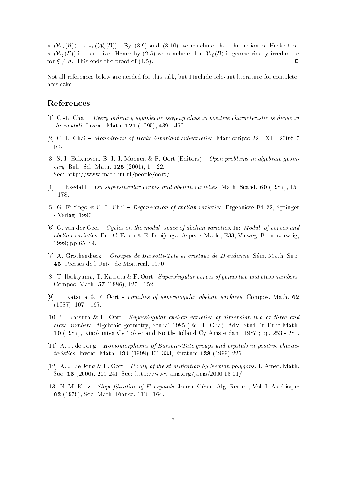where  $\mathcal{W} \subset \mathcal{W}$  and  $\mathcal{W} \subset \mathcal{W}$  and the action of Hecke one Hecke on  $\mathcal{W}$  $\pi_0(\mathcal{W}_{\xi}(\mathcal{B}))$  is transitive. Hence by (2.5) we conclude that  $\mathcal{W}_{\xi}(\mathcal{B})$  is geometrically irreducible for  $\xi \neq \sigma$ . This ends the proof of (1.5).  $\Box$ 

Not all references below are needed for this talk- but I include relevant literature for complete ness sake

### References

- $[1]$  C.-L. Chai Every ordinary symplectic isogeny class in positive characteristic is dense in  $\frac{1}{1000}$   $\frac{1}{1000}$   $\frac{1}{1000}$   $\frac{1}{1000}$   $\frac{1}{1000}$   $\frac{1}{1000}$   $\frac{1}{1000}$   $\frac{1}{1000}$
- re als en anno 1920 in 1920, a control invariant subvarieties Manuscripts **external anno 1920**. pp
- ist ein die gebou die gebou die hoofdeling van die bestelde van die geometer van die gebou die gebou van die g etry Bull Sci Math - See: http://www.math.uu.nl/people/oort/
- Tel International City cupercingular curves and abeliant curventer security of the literature of  $\sim$
- G Faltings CL Chai  Degeneration of abelian varieties Ergebnisse Bd Springer verlage relationships and the set of the set of the set of the set of the set of the set of the set of the set of the set of the set of the set of the set of the set of the set of the set of the set of the set of the set o
- [6] G, van der Geer Cycles on the moduli space of abelian varieties. In: Moduli of curves and abelian van die Eerste Edde Engelse Aspects Mathematics Mathematics Mathematics Mathematics Mathematics Math pp
- A Grothendieck  Groupes de Barsotti-Tate et cristaux de Dieudonn
e S em Math Sup **Avia resses de l'entri de Madrieux, le 161**
- T Ibukiyama- T Katsura F Oort Supersingular curves of genus two and class numbers Compos Math -
- [9] T. Katsura & F. Oort Families of supersingular abelian surfaces. Compos. Math. 62  $\blacksquare$
- [10] T. Katsura & F. Oort Supersingular abelian varieties of dimension two or three and class and algebraic geometry-bers and advantageometry-benefits and advantageometry-benefits and advantageometry-- Kinokuniya Cy Tokyo and NorthHolland Cy Amsterdam- pp
- A J de Jong  Homomorphisms of Barsotti-Tate groups and crystals in positive characteristics Invent Math - Erratum
- [12] A. J. de Jong  $\&$  F. Oort Purity of the stratification by Newton polygons. J. Amer. Math.  $S$  ,  $S$  ,  $S$  ,  $S$  ,  $S$  ,  $S$  ,  $S$  ,  $S$  ,  $S$  ,  $S$  ,  $S$  ,  $S$  ,  $S$  ,  $S$  ,  $S$  ,  $S$  ,  $S$  ,  $S$  ,  $S$  ,  $S$  ,  $S$  ,  $S$  ,  $S$  ,  $S$  ,  $S$  ,  $S$  ,  $S$  ,  $S$  ,  $S$  ,  $S$  ,  $S$  ,  $S$  ,  $S$  ,  $S$  ,  $S$  ,  $S$  ,  $S$  ,
- N M Katz  Slope ltration of F crystals Journ G eom Alg Rennes- Vol I- Ast erisque  - Soc Math France-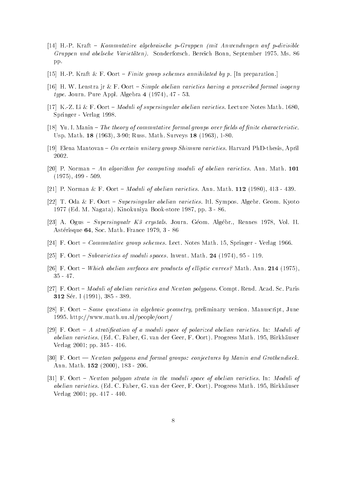- HP Kraft  Kommutative algebraische p-Gruppen mit Anwendungen auf p-divisible Gruppen und abelsche Varietaten Sonderforsche Bereichen Bereich Bonne Bereich Bonn- und der Bonn- und der Deutsch pp.
- [15] H.-P. Kraft & F. Oort Finite group schemes annihilated by p. [In preparation.]
- [16] H. W. Lenstra jr & F. Oort Simple abelian varieties having a prescribed formal isogeny  $\mathcal{L}_{\mathcal{A}}$  , and  $\mathcal{L}_{\mathcal{A}}$  are  $\mathcal{L}_{\mathcal{A}}$  and  $\mathcal{L}_{\mathcal{A}}$  . The pure  $\mathcal{L}_{\mathcal{A}}$  is a set of  $\mathcal{L}_{\mathcal{A}}$  .
- $\mathbf{L} = \mathbf{L}$ Springer Verlag
- Yu I Manin  The theory of commutative formal groups over elds of nite characteristic Usp Math - 
 Russ Math Surveys -
- Elena Mantovan  On certain unitary group Shimura varieties Harvard PhDthesis- April 2002.
- [20] P. Norman An algorithm for computing moduli of abelian varieties. Ann. Math. 101 -
- P A P A PARTIN TO A POST THROW MY OF WOONGRIPS ON ROLLOGE ANNUAL MARKET (AO OO ) | AAO POOL POOL PARTIES AND MA
- [22] T. Oda & F. Oort Supersingular abelian varieties. Itl. Sympos. Algebr. Geom. Kyoto e a man na bookstore and the man when we have a set of the state of the state of the state of the state of the
- A Ogus  Supersingualr K crystals Journ G eom Alg ebr- Rennes Vol II  $\frac{1}{2}$  and  $\frac{1}{2}$  are  $\frac{1}{2}$  and  $\frac{1}{2}$  are  $\frac{1}{2}$  and  $\frac{1}{2}$  are  $\frac{1}{2}$  and  $\frac{1}{2}$  are  $\frac{1}{2}$  and  $\frac{1}{2}$  are  $\frac{1}{2}$  and  $\frac{1}{2}$  are  $\frac{1}{2}$  and  $\frac{1}{2}$  are  $\frac{1}{2}$  and  $\frac{1}{2}$  a
- F Oort  Commutative group schemes Lect Notes Math Springer Verlag
- $\mathbf{F}$  and  $\mathbf{S}$  . The subset of moduli spaces Inventor Math  $\mathbf{S}$  ,  $\mathbf{F}$
- [26] F. Oort Which abelian surfaces are products of elliptic curves? Math. Ann. 214 (1975),  $35 - 47$ .
- [27] F. Oort Moduli of abelian varieties and Newton polygons. Compt. Rend. Acad. Sc. Paris S er I 

-
- F Oort  Some questions in algebraic geometry preliminary version Manuscript- June 1995. http://www.math.uu.nl/people/oort/
- [29] F. Oort  $-A$  stratification of a moduli space of polarized abelian varieties. In: Moduli of aber- F Oort Progress Math is en der Geer- en der Geer- en der Geer- en der Geer- en de Staatsmannen van de St Verlag  $2001$ ; pp. 345 - 416.
- $[30]$  F. Oort Newton polygons and formal groups: conjectures by Manin and Grothendieck.  $\ldots$  .  $\ldots$  .  $\ldots$   $\ldots$   $\ldots$   $\ldots$   $\ldots$   $\ldots$   $\ldots$
- [31] F. Oort Newton polygon strata in the moduli space of abelian varieties. In: Moduli of abelian van der gebou der Ger-Diese van der Geer-Diese van de van de van de van de van de van de van de van d Verlag  $2001$ ; pp.  $417 - 440$ .